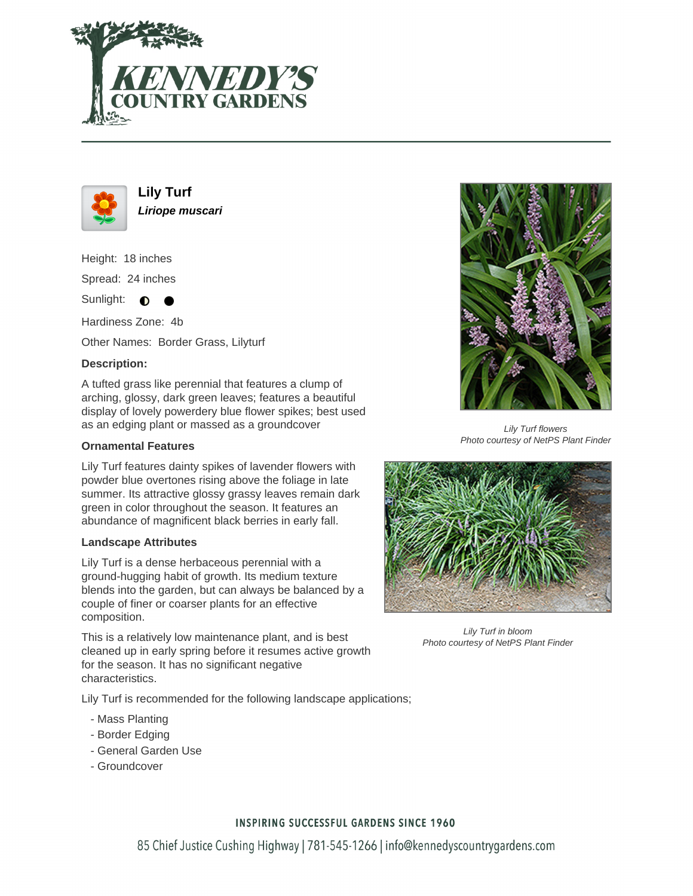



**Lily Turf Liriope muscari**

Height: 18 inches Spread: 24 inches

Sunlight:  $\bullet$ ╺

Hardiness Zone: 4b

Other Names: Border Grass, Lilyturf

## **Description:**

A tufted grass like perennial that features a clump of arching, glossy, dark green leaves; features a beautiful display of lovely powerdery blue flower spikes; best used as an edging plant or massed as a groundcover

### **Ornamental Features**

Lily Turf features dainty spikes of lavender flowers with powder blue overtones rising above the foliage in late summer. Its attractive glossy grassy leaves remain dark green in color throughout the season. It features an abundance of magnificent black berries in early fall.

#### **Landscape Attributes**

Lily Turf is a dense herbaceous perennial with a ground-hugging habit of growth. Its medium texture blends into the garden, but can always be balanced by a couple of finer or coarser plants for an effective composition.

This is a relatively low maintenance plant, and is best cleaned up in early spring before it resumes active growth for the season. It has no significant negative characteristics.

Lily Turf is recommended for the following landscape applications;

- Mass Planting
- Border Edging
- General Garden Use
- Groundcover



Lily Turf flowers Photo courtesy of NetPS Plant Finder



Lily Turf in bloom Photo courtesy of NetPS Plant Finder

#### **INSPIRING SUCCESSFUL GARDENS SINCE 1960**